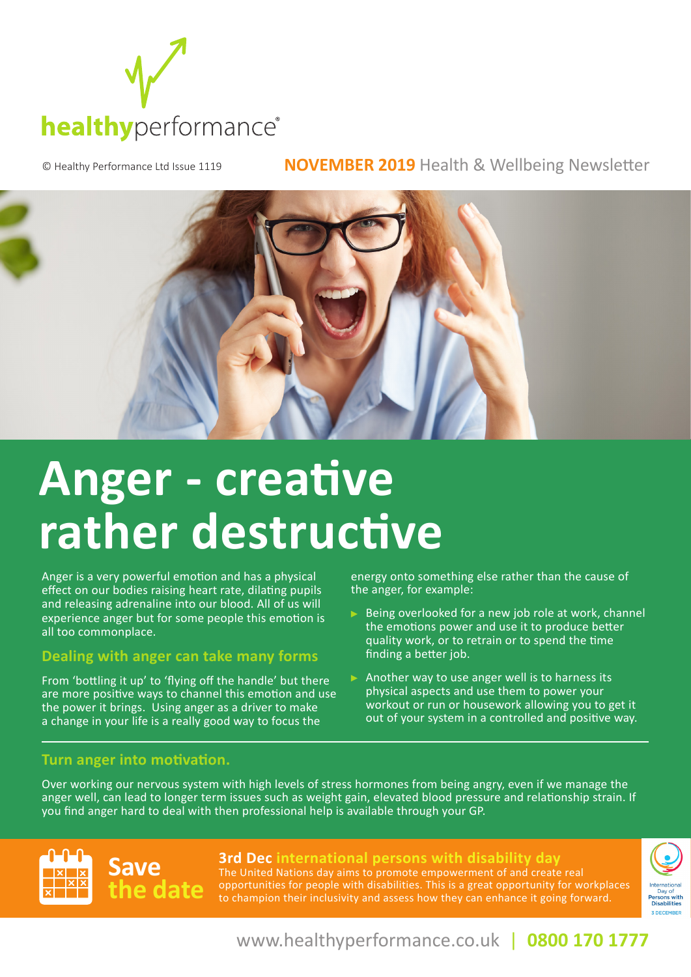

© Healthy Performance Ltd Issue 1119 **NOVEMBER 2019** Health & Wellbeing Newsletter



# **Anger - creative rather destructive**

Anger is a very powerful emotion and has a physical effect on our bodies raising heart rate, dilating pupils and releasing adrenaline into our blood. All of us will experience anger but for some people this emotion is all too commonplace.

### **Dealing with anger can take many forms**

From 'bottling it up' to 'flying off the handle' but there are more positive ways to channel this emotion and use the power it brings. Using anger as a driver to make a change in your life is a really good way to focus the

energy onto something else rather than the cause of the anger, for example:

- $\triangleright$  Being overlooked for a new job role at work, channel the emotions power and use it to produce better quality work, or to retrain or to spend the time finding a better job.
- Another way to use anger well is to harness its physical aspects and use them to power your workout or run or housework allowing you to get it out of your system in a controlled and positive way.

### **Turn anger into motivation.**

Over working our nervous system with high levels of stress hormones from being angry, even if we manage the anger well, can lead to longer term issues such as weight gain, elevated blood pressure and relationship strain. If you find anger hard to deal with then professional help is available through your GP.

### **Save the date**

**3rd Dec international persons with disability day** The United Nations day aims to promote empowerment of and create real opportunities for people with disabilities. This is a great opportunity for workplaces to champion their inclusivity and assess how they can enhance it going forward.



www.healthyperformance.co.uk | **0800 170 1777**